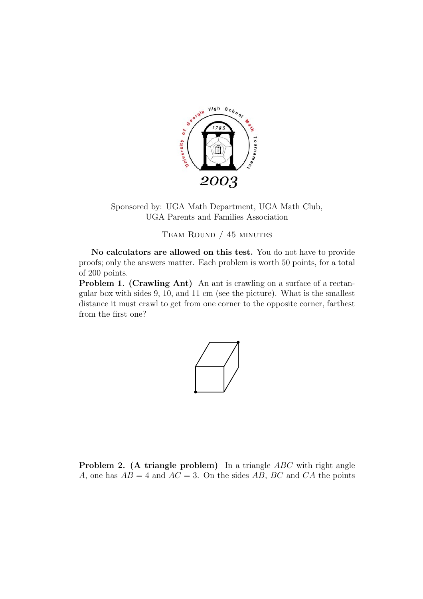

Sponsored by: UGA Math Department, UGA Math Club, UGA Parents and Families Association

Team Round / 45 minutes

**No calculators are allowed on this test.** You do not have to provide proofs; only the answers matter. Each problem is worth 50 points, for a total of 200 points.

**Problem 1. (Crawling Ant)** An ant is crawling on a surface of a rectangular box with sides 9, 10, and 11 cm (see the picture). What is the smallest distance it must crawl to get from one corner to the opposite corner, farthest from the first one?



**Problem 2.** (A triangle problem) In a triangle *ABC* with right angle *A*, one has  $AB = 4$  and  $AC = 3$ . On the sides AB, BC and CA the points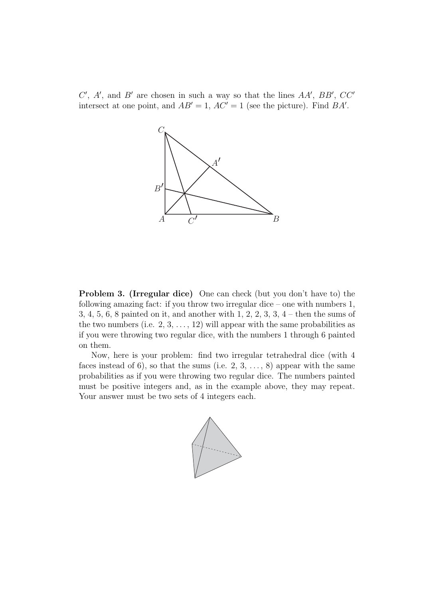$C'$ ,  $A'$ , and  $B'$  are chosen in such a way so that the lines  $AA'$ ,  $BB'$ ,  $CC'$ intersect at one point, and  $AB' = 1$ ,  $AC' = 1$  (see the picture). Find  $BA'$ .



**Problem 3. (Irregular dice)** One can check (but you don't have to) the following amazing fact: if you throw two irregular dice – one with numbers 1, 3, 4, 5, 6, 8 painted on it, and another with 1, 2, 2, 3, 3, 4 – then the sums of the two numbers (i.e.  $2, 3, \ldots, 12$ ) will appear with the same probabilities as if you were throwing two regular dice, with the numbers 1 through 6 painted on them.

Now, here is your problem: find two irregular tetrahedral dice (with 4 faces instead of 6), so that the sums (i.e.  $2, 3, \ldots, 8$ ) appear with the same probabilities as if you were throwing two regular dice. The numbers painted must be positive integers and, as in the example above, they may repeat. Your answer must be two sets of 4 integers each.